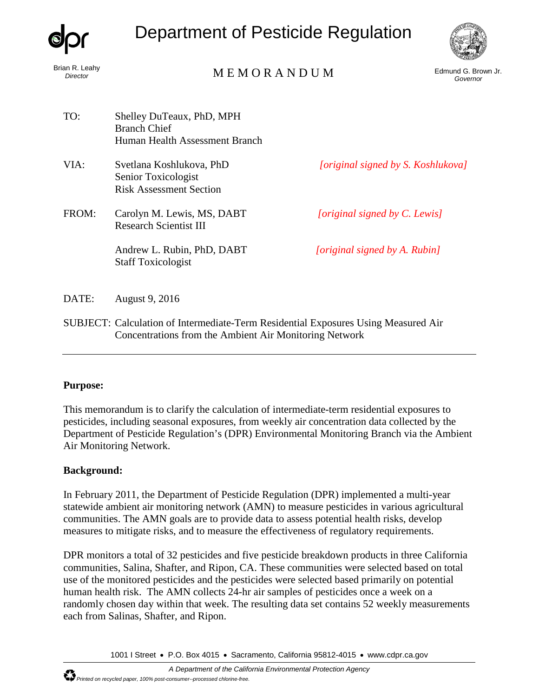

Brian R. Leahy<br>Director

# Department of Pesticide Regulation



# n R. Leany<br>*Director* Edmund G. Brown Jr. (Governor MEMORANDUM) Edmund G. Brown Jr.

*Governor*

| TO:   | Shelley DuTeaux, PhD, MPH<br><b>Branch Chief</b><br>Human Health Assessment Branch |                                    |
|-------|------------------------------------------------------------------------------------|------------------------------------|
| VIA:  | Svetlana Koshlukova, PhD<br>Senior Toxicologist<br><b>Risk Assessment Section</b>  | [original signed by S. Koshlukova] |
| FROM: | Carolyn M. Lewis, MS, DABT<br><b>Research Scientist III</b>                        | [original signed by C. Lewis]      |
|       | Andrew L. Rubin, PhD, DABT<br><b>Staff Toxicologist</b>                            | [original signed by A. Rubin]      |
| DATE: | August 9, 2016                                                                     |                                    |
|       | SUBJECT: Calculation of Intermediate-Term Residential Exposures Using Measured Air |                                    |

## Concentrations from the Ambient Air Monitoring Network

#### **Purpose:**

This memorandum is to clarify the calculation of intermediate-term residential exposures to pesticides, including seasonal exposures, from weekly air concentration data collected by the Department of Pesticide Regulation's (DPR) Environmental Monitoring Branch via the Ambient Air Monitoring Network.

#### **Background:**

In February 2011, the Department of Pesticide Regulation (DPR) implemented a multi-year statewide ambient air monitoring network (AMN) to measure pesticides in various agricultural communities. The AMN goals are to provide data to assess potential health risks, develop measures to mitigate risks, and to measure the effectiveness of regulatory requirements.

DPR monitors a total of 32 pesticides and five pesticide breakdown products in three California communities, Salina, Shafter, and Ripon, CA. These communities were selected based on total use of the monitored pesticides and the pesticides were selected based primarily on potential human health risk. The AMN collects 24-hr air samples of pesticides once a week on a randomly chosen day within that week. The resulting data set contains 52 weekly measurements each from Salinas, Shafter, and Ripon.

1001 I Street • P.O. Box 4015 • Sacramento, California 95812-4015 • [www.cdpr.ca.gov](http://www.cdpr.ca.gov/)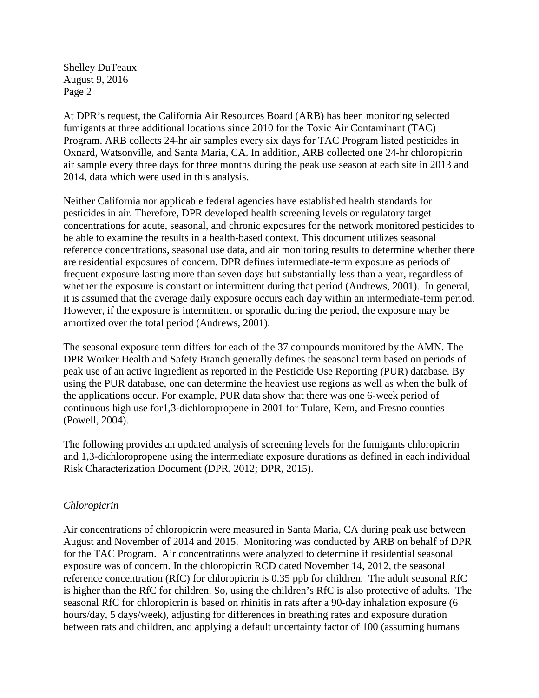At DPR's request, the California Air Resources Board (ARB) has been monitoring selected fumigants at three additional locations since 2010 for the Toxic Air Contaminant (TAC) Program. ARB collects 24-hr air samples every six days for TAC Program listed pesticides in Oxnard, Watsonville, and Santa Maria, CA. In addition, ARB collected one 24-hr chloropicrin air sample every three days for three months during the peak use season at each site in 2013 and 2014, data which were used in this analysis.

Neither California nor applicable federal agencies have established health standards for pesticides in air. Therefore, DPR developed health screening levels or regulatory target concentrations for acute, seasonal, and chronic exposures for the network monitored pesticides to be able to examine the results in a health-based context. This document utilizes seasonal reference concentrations, seasonal use data, and air monitoring results to determine whether there are residential exposures of concern. DPR defines intermediate-term exposure as periods of frequent exposure lasting more than seven days but substantially less than a year, regardless of whether the exposure is constant or intermittent during that period (Andrews, 2001). In general, it is assumed that the average daily exposure occurs each day within an intermediate-term period. However, if the exposure is intermittent or sporadic during the period, the exposure may be amortized over the total period (Andrews, 2001).

The seasonal exposure term differs for each of the 37 compounds monitored by the AMN. The DPR Worker Health and Safety Branch generally defines the seasonal term based on periods of peak use of an active ingredient as reported in the Pesticide Use Reporting (PUR) database. By using the PUR database, one can determine the heaviest use regions as well as when the bulk of the applications occur. For example, PUR data show that there was one 6-week period of continuous high use for1,3-dichloropropene in 2001 for Tulare, Kern, and Fresno counties (Powell, 2004).

The following provides an updated analysis of screening levels for the fumigants chloropicrin and 1,3-dichloropropene using the intermediate exposure durations as defined in each individual Risk Characterization Document (DPR, 2012; DPR, 2015).

#### *Chloropicrin*

Air concentrations of chloropicrin were measured in Santa Maria, CA during peak use between August and November of 2014 and 2015. Monitoring was conducted by ARB on behalf of DPR for the TAC Program. Air concentrations were analyzed to determine if residential seasonal exposure was of concern. In the chloropicrin RCD dated November 14, 2012, the seasonal reference concentration (RfC) for chloropicrin is 0.35 ppb for children. The adult seasonal RfC is higher than the RfC for children. So, using the children's RfC is also protective of adults. The seasonal RfC for chloropicrin is based on rhinitis in rats after a 90-day inhalation exposure (6 hours/day, 5 days/week), adjusting for differences in breathing rates and exposure duration between rats and children, and applying a default uncertainty factor of 100 (assuming humans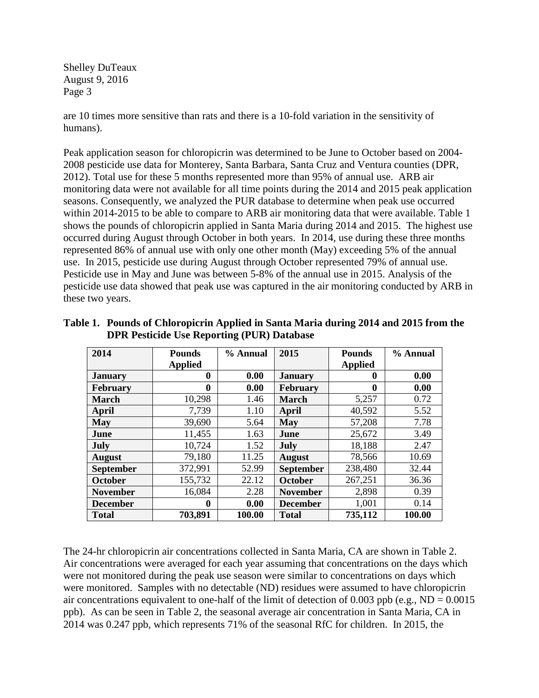are 10 times more sensitive than rats and there is a 10-fold variation in the sensitivity of humans).

Peak application season for chloropicrin was determined to be June to October based on 2004- 2008 pesticide use data for Monterey, Santa Barbara, Santa Cruz and Ventura counties (DPR, 2012). Total use for these 5 months represented more than 95% of annual use. ARB air monitoring data were not available for all time points during the 2014 and 2015 peak application seasons. Consequently, we analyzed the PUR database to determine when peak use occurred within 2014-2015 to be able to compare to ARB air monitoring data that were available. Table 1 shows the pounds of chloropicrin applied in Santa Maria during 2014 and 2015. The highest use occurred during August through October in both years. In 2014, use during these three months represented 86% of annual use with only one other month (May) exceeding 5% of the annual use. In 2015, pesticide use during August through October represented 79% of annual use. Pesticide use in May and June was between 5-8% of the annual use in 2015. Analysis of the pesticide use data showed that peak use was captured in the air monitoring conducted by ARB in these two years.

| 2014             | <b>Pounds</b>  | % Annual | 2015             | <b>Pounds</b>  | % Annual |
|------------------|----------------|----------|------------------|----------------|----------|
|                  | <b>Applied</b> |          |                  | <b>Applied</b> |          |
| <b>January</b>   | $\bf{0}$       | 0.00     | <b>January</b>   | 0              | 0.00     |
| <b>February</b>  | $\bf{0}$       | 0.00     | <b>February</b>  | 0              | 0.00     |
| <b>March</b>     | 10,298         | 1.46     | <b>March</b>     | 5,257          | 0.72     |
| April            | 7,739          | 1.10     | April            | 40,592         | 5.52     |
| <b>May</b>       | 39,690         | 5.64     | <b>May</b>       | 57,208         | 7.78     |
| June             | 11,455         | 1.63     | June             | 25,672         | 3.49     |
| July             | 10,724         | 1.52     | July             | 18,188         | 2.47     |
| <b>August</b>    | 79,180         | 11.25    | <b>August</b>    | 78,566         | 10.69    |
| <b>September</b> | 372,991        | 52.99    | <b>September</b> | 238,480        | 32.44    |
| <b>October</b>   | 155,732        | 22.12    | October          | 267,251        | 36.36    |
| <b>November</b>  | 16,084         | 2.28     | <b>November</b>  | 2,898          | 0.39     |
| <b>December</b>  | $\mathbf{0}$   | 0.00     | <b>December</b>  | 1,001          | 0.14     |
| <b>Total</b>     | 703,891        | 100.00   | <b>Total</b>     | 735,112        | 100.00   |

**Table 1. Pounds of Chloropicrin Applied in Santa Maria during 2014 and 2015 from the DPR Pesticide Use Reporting (PUR) Database** 

The 24-hr chloropicrin air concentrations collected in Santa Maria, CA are shown in Table 2. Air concentrations were averaged for each year assuming that concentrations on the days which were not monitored during the peak use season were similar to concentrations on days which were monitored. Samples with no detectable (ND) residues were assumed to have chloropicrin air concentrations equivalent to one-half of the limit of detection of 0.003 ppb (e.g.,  $ND = 0.0015$ ) ppb). As can be seen in Table 2, the seasonal average air concentration in Santa Maria, CA in 2014 was 0.247 ppb, which represents 71% of the seasonal RfC for children. In 2015, the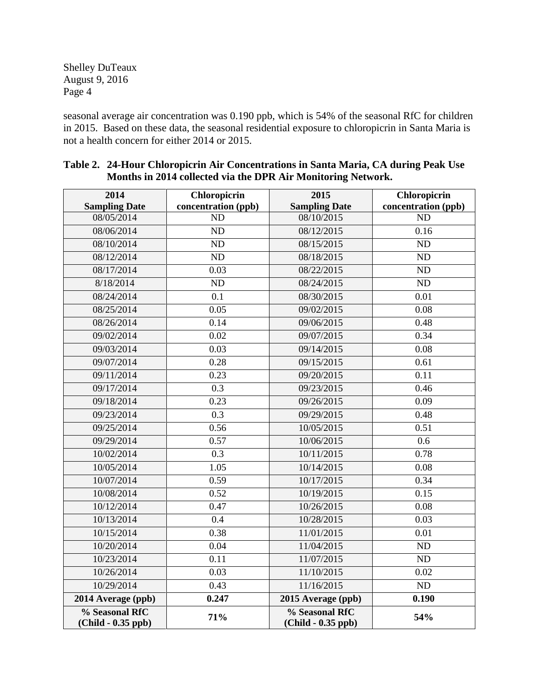seasonal average air concentration was 0.190 ppb, which is 54% of the seasonal RfC for children in 2015. Based on these data, the seasonal residential exposure to chloropicrin in Santa Maria is not a health concern for either 2014 or 2015.

| 2014                                   | <b>Chloropicrin</b> | 2015                                   |                     |  |
|----------------------------------------|---------------------|----------------------------------------|---------------------|--|
| <b>Sampling Date</b>                   | concentration (ppb) | <b>Sampling Date</b>                   | concentration (ppb) |  |
| 08/05/2014                             | <b>ND</b>           | 08/10/2015                             | ND                  |  |
| 08/06/2014                             | ND                  | 08/12/2015                             | 0.16                |  |
| 08/10/2014                             | N <sub>D</sub>      | 08/15/2015                             | $\overline{ND}$     |  |
| 08/12/2014                             | ND                  | 08/18/2015                             | ND                  |  |
| 08/17/2014                             | 0.03                | 08/22/2015                             | ND                  |  |
| 8/18/2014                              | ND                  | 08/24/2015                             | ND                  |  |
| 08/24/2014                             | $\overline{0.1}$    | 08/30/2015                             | $\overline{0.01}$   |  |
| 08/25/2014                             | 0.05                | 09/02/2015                             | 0.08                |  |
| 08/26/2014                             | 0.14                | 09/06/2015                             | 0.48                |  |
| 09/02/2014                             | 0.02                | 09/07/2015                             | 0.34                |  |
| 09/03/2014                             | 0.03                | 09/14/2015                             | 0.08                |  |
| 09/07/2014                             | 0.28                | 09/15/2015                             | 0.61                |  |
| 09/11/2014                             | 0.23                | 09/20/2015                             | 0.11                |  |
| 09/17/2014                             | 0.3                 | 09/23/2015                             | 0.46                |  |
| 09/18/2014                             | 0.23                | 09/26/2015                             | 0.09                |  |
| 09/23/2014                             | 0.3                 | 09/29/2015                             | 0.48                |  |
| 09/25/2014                             | 0.56                | 10/05/2015                             | 0.51                |  |
| 09/29/2014                             | 0.57                | 10/06/2015                             | 0.6                 |  |
| 10/02/2014                             | 0.3                 | 10/11/2015                             | 0.78                |  |
| 10/05/2014                             | 1.05                | 10/14/2015                             | 0.08                |  |
| 10/07/2014                             | 0.59                | 10/17/2015                             | 0.34                |  |
| 10/08/2014                             | 0.52                | 10/19/2015                             | 0.15                |  |
| 10/12/2014                             | 0.47                | 10/26/2015                             | 0.08                |  |
| 10/13/2014                             | 0.4                 | 10/28/2015                             | 0.03                |  |
| 10/15/2014                             | 0.38                | 11/01/2015                             | $\overline{0.01}$   |  |
| 10/20/2014                             | 0.04                | 11/04/2015                             | ND                  |  |
| 10/23/2014                             | 0.11                | 11/07/2015                             | ND                  |  |
| 10/26/2014                             | 0.03                | 11/10/2015                             | 0.02                |  |
| 10/29/2014                             | 0.43                | 11/16/2015                             | $\rm ND$            |  |
| 2014 Average (ppb)                     | 0.247               | 2015 Average (ppb)                     | 0.190               |  |
| % Seasonal RfC<br>$(Child - 0.35$ ppb) | 71%                 | % Seasonal RfC<br>$(Child - 0.35$ ppb) | 54%                 |  |

### **Table 2. 24-Hour Chloropicrin Air Concentrations in Santa Maria, CA during Peak Use Months in 2014 collected via the DPR Air Monitoring Network.**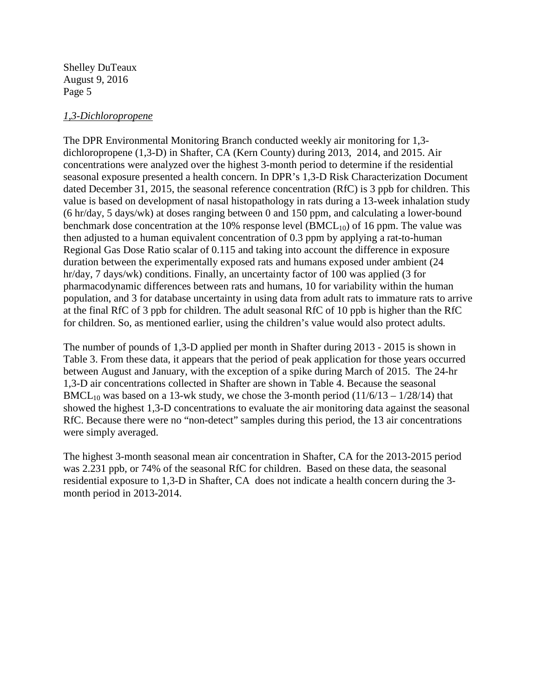#### *1,3-Dichloropropene*

The DPR Environmental Monitoring Branch conducted weekly air monitoring for 1,3 dichloropropene (1,3-D) in Shafter, CA (Kern County) during 2013, 2014, and 2015. Air concentrations were analyzed over the highest 3-month period to determine if the residential seasonal exposure presented a health concern. In DPR's 1,3-D Risk Characterization Document dated December 31, 2015, the seasonal reference concentration (RfC) is 3 ppb for children. This value is based on development of nasal histopathology in rats during a 13-week inhalation study (6 hr/day, 5 days/wk) at doses ranging between 0 and 150 ppm, and calculating a lower-bound benchmark dose concentration at the 10% response level  $(BMCL_{10})$  of 16 ppm. The value was then adjusted to a human equivalent concentration of 0.3 ppm by applying a rat-to-human Regional Gas Dose Ratio scalar of 0.115 and taking into account the difference in exposure duration between the experimentally exposed rats and humans exposed under ambient (24 hr/day, 7 days/wk) conditions. Finally, an uncertainty factor of 100 was applied (3 for pharmacodynamic differences between rats and humans, 10 for variability within the human population, and 3 for database uncertainty in using data from adult rats to immature rats to arrive at the final RfC of 3 ppb for children. The adult seasonal RfC of 10 ppb is higher than the RfC for children. So, as mentioned earlier, using the children's value would also protect adults.

The number of pounds of 1,3-D applied per month in Shafter during 2013 - 2015 is shown in Table 3. From these data, it appears that the period of peak application for those years occurred between August and January, with the exception of a spike during March of 2015. The 24-hr 1,3-D air concentrations collected in Shafter are shown in Table 4. Because the seasonal BMCL<sub>10</sub> was based on a 13-wk study, we chose the 3-month period  $(11/6/13 - 1/28/14)$  that showed the highest 1,3-D concentrations to evaluate the air monitoring data against the seasonal RfC. Because there were no "non-detect" samples during this period, the 13 air concentrations were simply averaged.

The highest 3-month seasonal mean air concentration in Shafter, CA for the 2013-2015 period was 2.231 ppb, or 74% of the seasonal RfC for children. Based on these data, the seasonal residential exposure to 1,3-D in Shafter, CA does not indicate a health concern during the 3 month period in 2013-2014.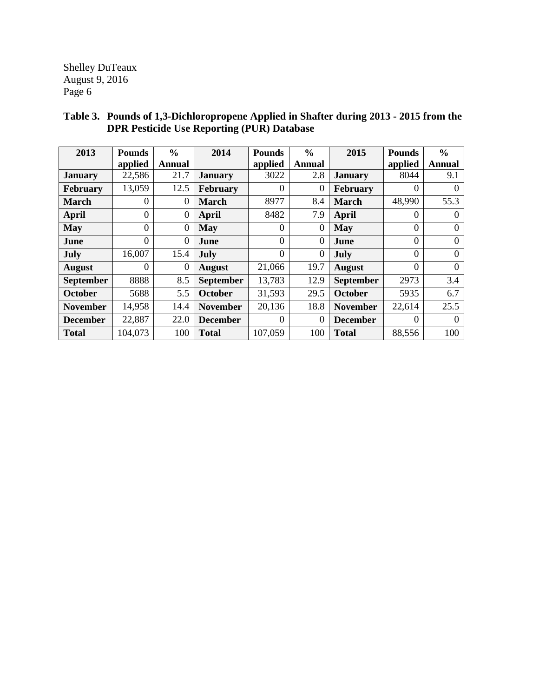| 2013             | <b>Pounds</b> | $\frac{6}{6}$    | 2014             | <b>Pounds</b> | $\frac{0}{0}$  | 2015             | <b>Pounds</b>  | $\frac{0}{0}$ |
|------------------|---------------|------------------|------------------|---------------|----------------|------------------|----------------|---------------|
|                  | applied       | Annual           |                  | applied       | <b>Annual</b>  |                  | applied        | Annual        |
| <b>January</b>   | 22,586        | 21.7             | <b>January</b>   | 3022          | 2.8            | <b>January</b>   | 8044           | 9.1           |
| <b>February</b>  | 13,059        | 12.5             | February         | $\Omega$      | $\overline{0}$ | February         | $\Omega$       | 0             |
| <b>March</b>     | $\theta$      | 0                | <b>March</b>     | 8977          | 8.4            | <b>March</b>     | 48,990         | 55.3          |
| <b>April</b>     | $\theta$      | $\boldsymbol{0}$ | April            | 8482          | 7.9            | April            | $\theta$       | $\Omega$      |
| <b>May</b>       | $\theta$      | $\overline{0}$   | May              | 0             | $\overline{0}$ | May              | $\overline{0}$ | 0             |
| June             | $\Omega$      | $\theta$         | <b>June</b>      | $\Omega$      | $\overline{0}$ | <b>June</b>      | $\Omega$       | $\Omega$      |
| July             | 16,007        | 15.4             | July             | 0             | 0              | July             | $\overline{0}$ | $\Omega$      |
| <b>August</b>    | $\Omega$      | 0                | <b>August</b>    | 21,066        | 19.7           | <b>August</b>    | $\Omega$       | $\Omega$      |
| <b>September</b> | 8888          | 8.5              | <b>September</b> | 13,783        | 12.9           | <b>September</b> | 2973           | 3.4           |
| <b>October</b>   | 5688          | 5.5              | <b>October</b>   | 31,593        | 29.5           | October          | 5935           | 6.7           |
| <b>November</b>  | 14,958        | 14.4             | <b>November</b>  | 20,136        | 18.8           | <b>November</b>  | 22,614         | 25.5          |
| <b>December</b>  | 22,887        | 22.0             | <b>December</b>  | 0             | $\theta$       | <b>December</b>  | $\Omega$       |               |
| <b>Total</b>     | 104,073       | 100              | <b>Total</b>     | 107,059       | 100            | <b>Total</b>     | 88,556         | 100           |

# **Table 3. Pounds of 1,3-Dichloropropene Applied in Shafter during 2013 - 2015 from the DPR Pesticide Use Reporting (PUR) Database**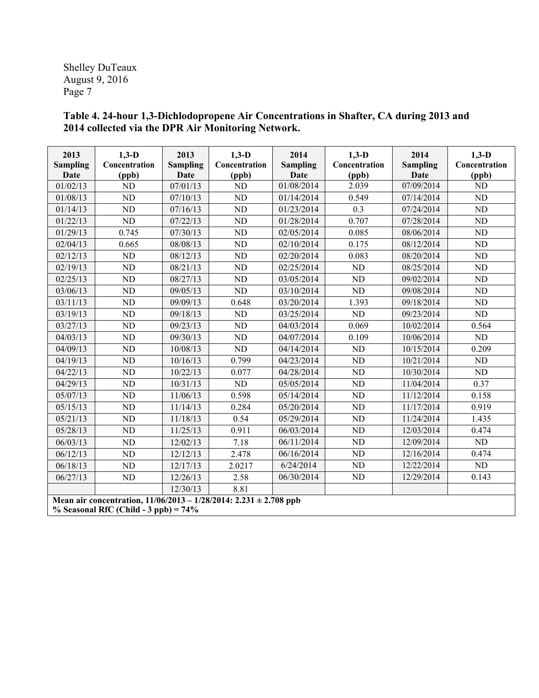**Table 4. 24-hour 1,3-Dichlodopropene Air Concentrations in Shafter, CA during 2013 and 2014 collected via the DPR Air Monitoring Network.** 

| 2013<br><b>Sampling</b><br>Date                                                                                 | $1,3-D$<br>Concentration<br>(ppb) | 2013<br><b>Sampling</b><br>Date | $1,3-D$<br>Concentration<br>(ppb) | 2014<br><b>Sampling</b><br>Date | $1,3-D$<br>Concentration<br>(ppb) | 2014<br><b>Sampling</b><br>Date | $1,3-D$<br>Concentration<br>(ppb) |
|-----------------------------------------------------------------------------------------------------------------|-----------------------------------|---------------------------------|-----------------------------------|---------------------------------|-----------------------------------|---------------------------------|-----------------------------------|
| 01/02/13                                                                                                        | <b>ND</b>                         | 07/01/13                        | <b>ND</b>                         | 01/08/2014                      | 2.039                             | 07/09/2014                      | <b>ND</b>                         |
| 01/08/13                                                                                                        | ND                                | 07/10/13                        | <b>ND</b>                         | 01/14/2014                      | 0.549                             | 07/14/2014                      | ND                                |
| 01/14/13                                                                                                        | <b>ND</b>                         | 07/16/13                        | <b>ND</b>                         | 01/23/2014                      | 0.3                               | 07/24/2014                      | ND                                |
| 01/22/13                                                                                                        | ND                                | 07/22/13                        | <b>ND</b>                         | 01/28/2014                      | 0.707                             | 07/28/2014                      | ND                                |
| 01/29/13                                                                                                        | 0.745                             | 07/30/13                        | <b>ND</b>                         | 02/05/2014                      | 0.085                             | 08/06/2014                      | $\rm ND$                          |
| 02/04/13                                                                                                        | 0.665                             | 08/08/13                        | <b>ND</b>                         | 02/10/2014                      | 0.175                             | 08/12/2014                      | ND                                |
| 02/12/13                                                                                                        | ND                                | 08/12/13                        | <b>ND</b>                         | 02/20/2014                      | 0.083                             | 08/20/2014                      | ND                                |
| 02/19/13                                                                                                        | ND                                | 08/21/13                        | <b>ND</b>                         | 02/25/2014                      | <b>ND</b>                         | 08/25/2014                      | $\rm ND$                          |
| 02/25/13                                                                                                        | <b>ND</b>                         | 08/27/13                        | <b>ND</b>                         | 03/05/2014                      | <b>ND</b>                         | 09/02/2014                      | ND                                |
| 03/06/13                                                                                                        | ND                                | 09/05/13                        | ND                                | 03/10/2014                      | ND                                | 09/08/2014                      | ND                                |
| 03/11/13                                                                                                        | <b>ND</b>                         | 09/09/13                        | 0.648                             | 03/20/2014                      | 1.393                             | 09/18/2014                      | ND                                |
| 03/19/13                                                                                                        | ND                                | 09/18/13                        | <b>ND</b>                         | 03/25/2014                      | <b>ND</b>                         | 09/23/2014                      | ND                                |
| 03/27/13                                                                                                        | ND                                | 09/23/13                        | <b>ND</b>                         | 04/03/2014                      | 0.069                             | 10/02/2014                      | 0.564                             |
| 04/03/13                                                                                                        | <b>ND</b>                         | 09/30/13                        | <b>ND</b>                         | 04/07/2014                      | 0.109                             | 10/06/2014                      | ND                                |
| 04/09/13                                                                                                        | ND                                | 10/08/13                        | <b>ND</b>                         | 04/14/2014                      | ND                                | 10/15/2014                      | 0.209                             |
| 04/19/13                                                                                                        | ND                                | 10/16/13                        | 0.799                             | 04/23/2014                      | ND                                | 10/21/2014                      | ND                                |
| 04/22/13                                                                                                        | ND                                | 10/22/13                        | 0.077                             | 04/28/2014                      | N <sub>D</sub>                    | 10/30/2014                      | ND                                |
| 04/29/13                                                                                                        | <b>ND</b>                         | 10/31/13                        | N <sub>D</sub>                    | 05/05/2014                      | ND                                | 11/04/2014                      | 0.37                              |
| 05/07/13                                                                                                        | ND                                | 11/06/13                        | 0.598                             | 05/14/2014                      | ND                                | 11/12/2014                      | 0.158                             |
| 05/15/13                                                                                                        | ND                                | 11/14/13                        | 0.284                             | 05/20/2014                      | <b>ND</b>                         | 11/17/2014                      | 0.919                             |
| 05/21/13                                                                                                        | ND                                | 11/18/13                        | 0.54                              | 05/29/2014                      | ND                                | 11/24/2014                      | 1.435                             |
| 05/28/13                                                                                                        | <b>ND</b>                         | 11/25/13                        | 0.911                             | 06/03/2014                      | N <sub>D</sub>                    | 12/03/2014                      | 0.474                             |
| 06/03/13                                                                                                        | ND                                | 12/02/13                        | 7.18                              | 06/11/2014                      | ND                                | 12/09/2014                      | ND                                |
| 06/12/13                                                                                                        | ND                                | 12/12/13                        | 2.478                             | 06/16/2014                      | <b>ND</b>                         | 12/16/2014                      | 0.474                             |
| 06/18/13                                                                                                        | ND                                | 12/17/13                        | 2.0217                            | 6/24/2014                       | ND                                | 12/22/2014                      | ND                                |
| 06/27/13                                                                                                        | ND                                | 12/26/13                        | 2.58                              | 06/30/2014                      | ND                                | 12/29/2014                      | 0.143                             |
|                                                                                                                 |                                   | 12/30/13                        | 8.81                              |                                 |                                   |                                 |                                   |
| Mean air concentration, $11/06/2013 - 1/28/2014$ : 2.231 ± 2.708 ppb<br>$\%$ Seasonal RfC (Child - 3 ppb) = 74% |                                   |                                 |                                   |                                 |                                   |                                 |                                   |